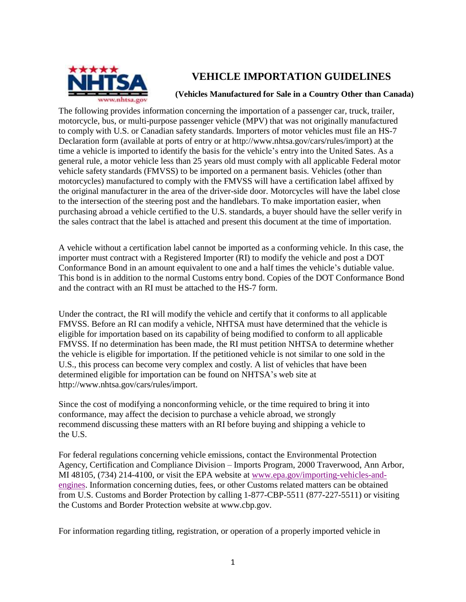

## **VEHICLE IMPORTATION GUIDELINES**

## **(Vehicles Manufactured for Sale in a Country Other than Canada)**

The following provides information concerning the importation of a passenger car, truck, trailer, motorcycle, bus, or multi-purpose passenger vehicle (MPV) that was not originally manufactured to comply with U.S. or Canadian safety standards. Importers of motor vehicles must file an HS-7 Declaration form (available at ports of entry [or at http://www.nhtsa.gov/cars/rules/import\)](http://www.nhtsa.gov/cars/rules/import)) at the time a vehicle is imported to identify the basis for the vehicle's entry into the United Sates. As a general rule, a motor vehicle less than 25 years old must comply with all applicable Federal motor vehicle safety standards (FMVSS) to be imported on a permanent basis. Vehicles (other than motorcycles) manufactured to comply with the FMVSS will have a certification label affixed by the original manufacturer in the area of the driver-side door. Motorcycles will have the label close to the intersection of the steering post and the handlebars. To make importation easier, when purchasing abroad a vehicle certified to the U.S. standards, a buyer should have the seller verify in the sales contract that the label is attached and present this document at the time of importation.

A vehicle without a certification label cannot be imported as a conforming vehicle. In this case, the importer must contract with a Registered Importer (RI) to modify the vehicle and post a DOT Conformance Bond in an amount equivalent to one and a half times the vehicle's dutiable value. This bond is in addition to the normal Customs entry bond. Copies of the DOT Conformance Bond and the contract with an RI must be attached to the HS-7 form.

Under the contract, the RI will modify the vehicle and certify that it conforms to all applicable FMVSS. Before an RI can modify a vehicle, NHTSA must have determined that the vehicle is eligible for importation based on its capability of being modified to conform to all applicable FMVSS. If no determination has been made, the RI must petition NHTSA to determine whether the vehicle is eligible for importation. If the petitioned vehicle is not similar to one sold in the U.S., this process can become very complex and costly. A list of vehicles that have been determined eligible for importation can be found on NHTSA's web site [at](http://www.nhtsa.gov/cars/rules/import)  [http://www.nhtsa.gov/cars/rules/import.](http://www.nhtsa.gov/cars/rules/import)

Since the cost of modifying a nonconforming vehicle, or the time required to bring it into conformance, may affect the decision to purchase a vehicle abroad, we strongly recommend discussing these matters with an RI before buying and shipping a vehicle to the U.S.

For federal regulations concerning vehicle emissions, contact the Environmental Protection Agency, Certification and Compliance Division – Imports Program, 2000 Traverwood, Ann Arbor, MI 48105, (734) 214-4100, or visit the EPA website at [www.epa.gov/importing-vehicles-and](http://www.epa.gov/importing-vehicles-and-engines)[engines.](http://www.epa.gov/importing-vehicles-and-engines) Information concerning duties, fees, or other Customs related matters can be obtained from U.S. Customs and Border Protection by calling 1-877-CBP-5511 (877-227-5511) or visiting the Customs and Border Protection website at [www.cbp.gov.](http://www.cbp.gov/)

For information regarding titling, registration, or operation of a properly imported vehicle in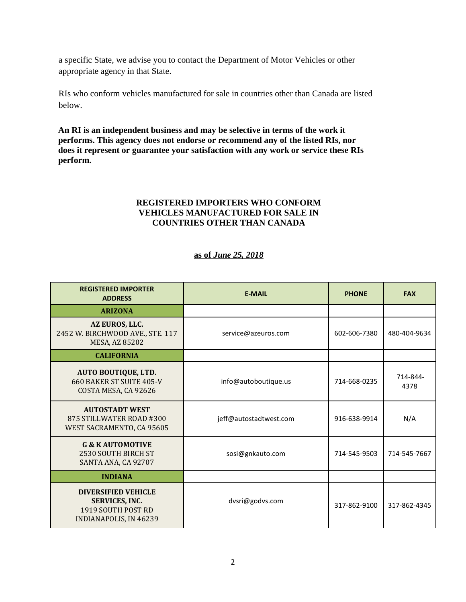a specific State, we advise you to contact the Department of Motor Vehicles or other appropriate agency in that State.

RIs who conform vehicles manufactured for sale in countries other than Canada are listed below.

**An RI is an independent business and may be selective in terms of the work it performs. This agency does not endorse or recommend any of the listed RIs, nor does it represent or guarantee your satisfaction with any work or service these RIs perform.** 

## **REGISTERED IMPORTERS WHO CONFORM VEHICLES MANUFACTURED FOR SALE IN COUNTRIES OTHER THAN CANADA**

## **as of** *June 25, 2018*

| <b>REGISTERED IMPORTER</b><br><b>ADDRESS</b>                                                               | <b>E-MAIL</b>          | <b>PHONE</b> | <b>FAX</b>       |
|------------------------------------------------------------------------------------------------------------|------------------------|--------------|------------------|
| <b>ARIZONA</b>                                                                                             |                        |              |                  |
| AZ EUROS, LLC.<br>2452 W. BIRCHWOOD AVE., STE. 117<br>MESA, AZ 85202                                       | service@azeuros.com    | 602-606-7380 | 480-404-9634     |
| <b>CALIFORNIA</b>                                                                                          |                        |              |                  |
| <b>AUTO BOUTIQUE, LTD.</b><br>660 BAKER ST SUITE 405-V<br>COSTA MESA, CA 92626                             | info@autoboutique.us   | 714-668-0235 | 714-844-<br>4378 |
| <b>AUTOSTADT WEST</b><br>875 STILLWATER ROAD #300<br>WEST SACRAMENTO, CA 95605                             | jeff@autostadtwest.com | 916-638-9914 | N/A              |
| <b>G &amp; K AUTOMOTIVE</b><br>2530 SOUTH BIRCH ST<br>SANTA ANA, CA 92707                                  | sosi@gnkauto.com       | 714-545-9503 | 714-545-7667     |
| <b>INDIANA</b>                                                                                             |                        |              |                  |
| <b>DIVERSIFIED VEHICLE</b><br><b>SERVICES, INC.</b><br>1919 SOUTH POST RD<br><b>INDIANAPOLIS, IN 46239</b> | dvsri@godvs.com        | 317-862-9100 | 317-862-4345     |